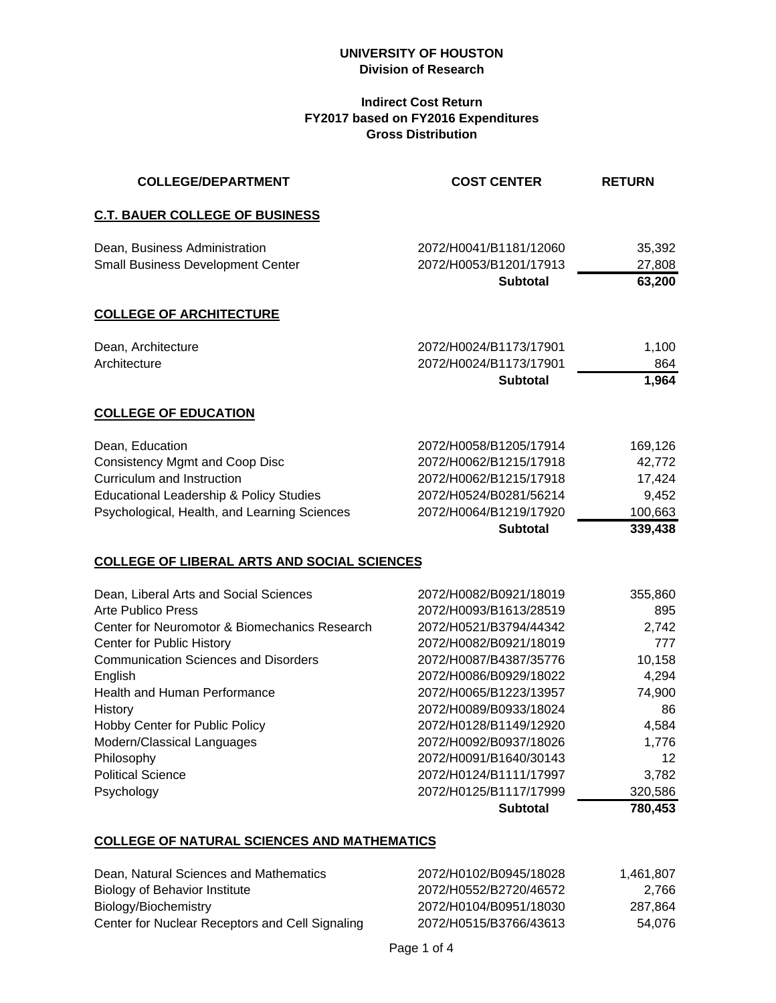## **Indirect Cost Return FY2017 based on FY2016 Expenditures Gross Distribution**

| <b>COLLEGE/DEPARTMENT</b>                          | <b>COST CENTER</b>                        | <b>RETURN</b>    |
|----------------------------------------------------|-------------------------------------------|------------------|
| <b>C.T. BAUER COLLEGE OF BUSINESS</b>              |                                           |                  |
| Dean, Business Administration                      | 2072/H0041/B1181/12060                    | 35,392           |
| <b>Small Business Development Center</b>           | 2072/H0053/B1201/17913<br><b>Subtotal</b> | 27,808<br>63,200 |
| <b>COLLEGE OF ARCHITECTURE</b>                     |                                           |                  |
| Dean, Architecture                                 | 2072/H0024/B1173/17901                    | 1,100            |
| Architecture                                       | 2072/H0024/B1173/17901<br><b>Subtotal</b> | 864<br>1,964     |
| <b>COLLEGE OF EDUCATION</b>                        |                                           |                  |
| Dean, Education                                    | 2072/H0058/B1205/17914                    | 169,126          |
| <b>Consistency Mgmt and Coop Disc</b>              | 2072/H0062/B1215/17918                    | 42,772           |
| Curriculum and Instruction                         | 2072/H0062/B1215/17918                    | 17,424           |
| Educational Leadership & Policy Studies            | 2072/H0524/B0281/56214                    | 9,452            |
| Psychological, Health, and Learning Sciences       | 2072/H0064/B1219/17920                    | 100,663          |
|                                                    | <b>Subtotal</b>                           | 339,438          |
| <b>COLLEGE OF LIBERAL ARTS AND SOCIAL SCIENCES</b> |                                           |                  |
| Dean, Liberal Arts and Social Sciences             | 2072/H0082/B0921/18019                    | 355,860          |
| <b>Arte Publico Press</b>                          | 2072/H0093/B1613/28519                    | 895              |
| Center for Neuromotor & Biomechanics Research      | 2072/H0521/B3794/44342                    | 2,742            |
| Center for Public History                          | 2072/H0082/B0921/18019                    | 777              |
| <b>Communication Sciences and Disorders</b>        | 2072/H0087/B4387/35776                    | 10,158           |
| English                                            | 2072/H0086/B0929/18022                    | 4,294            |
| Health and Human Performance                       | 2072/H0065/B1223/13957                    | 74,900           |
| <b>History</b>                                     | 2072/H0089/B0933/18024                    | 86               |
| Hobby Center for Public Policy                     | 2072/H0128/B1149/12920                    | 4,584            |
| Modern/Classical Languages                         | 2072/H0092/B0937/18026                    | 1,776            |
| Philosophy                                         | 2072/H0091/B1640/30143                    | 12               |
| <b>Political Science</b>                           | 2072/H0124/B1111/17997                    | 3,782            |
| Psychology                                         | 2072/H0125/B1117/17999                    | 320,586          |
|                                                    | <b>Subtotal</b>                           | 780,453          |

# **COLLEGE OF NATURAL SCIENCES AND MATHEMATICS**

| Dean, Natural Sciences and Mathematics          | 2072/H0102/B0945/18028 | 1.461.807 |
|-------------------------------------------------|------------------------|-----------|
| Biology of Behavior Institute                   | 2072/H0552/B2720/46572 | 2.766     |
| Biology/Biochemistry                            | 2072/H0104/B0951/18030 | 287.864   |
| Center for Nuclear Receptors and Cell Signaling | 2072/H0515/B3766/43613 | 54.076    |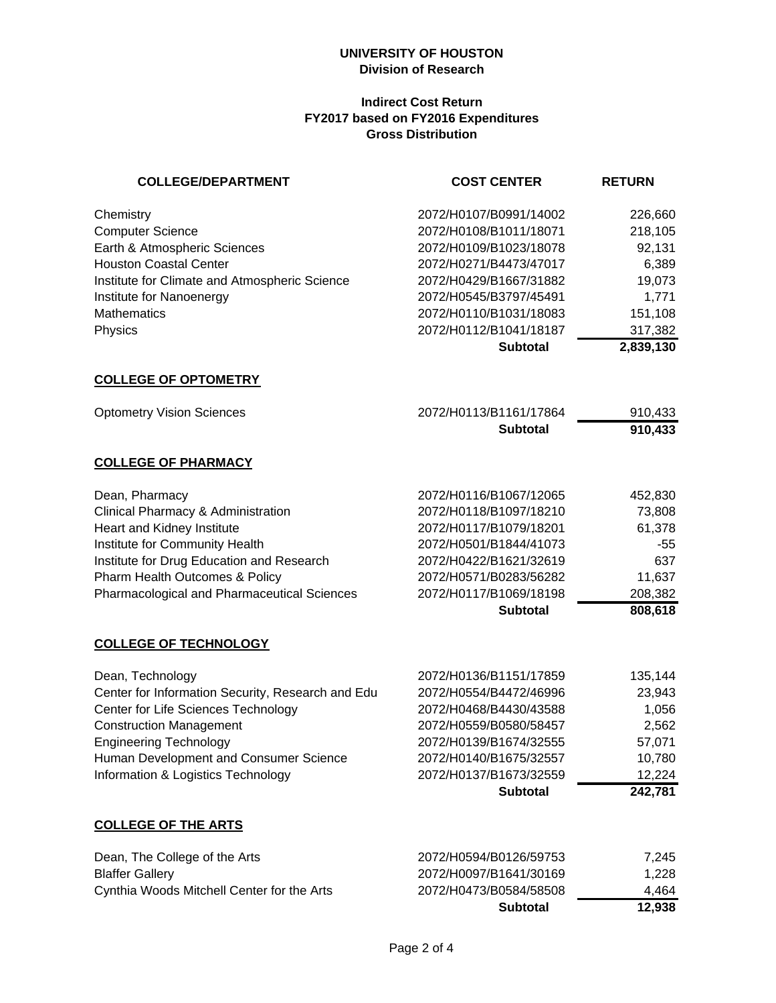#### **Indirect Cost Return FY2017 based on FY2016 Expenditures Gross Distribution**

| <b>COLLEGE/DEPARTMENT</b>                                                                                                                                                                                                                                       | <b>COST CENTER</b>                                                                                                                                                                                                              | <b>RETURN</b>                                                                               |
|-----------------------------------------------------------------------------------------------------------------------------------------------------------------------------------------------------------------------------------------------------------------|---------------------------------------------------------------------------------------------------------------------------------------------------------------------------------------------------------------------------------|---------------------------------------------------------------------------------------------|
| Chemistry<br><b>Computer Science</b><br>Earth & Atmospheric Sciences<br><b>Houston Coastal Center</b><br>Institute for Climate and Atmospheric Science<br>Institute for Nanoenergy<br><b>Mathematics</b><br>Physics                                             | 2072/H0107/B0991/14002<br>2072/H0108/B1011/18071<br>2072/H0109/B1023/18078<br>2072/H0271/B4473/47017<br>2072/H0429/B1667/31882<br>2072/H0545/B3797/45491<br>2072/H0110/B1031/18083<br>2072/H0112/B1041/18187<br><b>Subtotal</b> | 226,660<br>218,105<br>92,131<br>6,389<br>19,073<br>1,771<br>151,108<br>317,382<br>2,839,130 |
| <b>COLLEGE OF OPTOMETRY</b>                                                                                                                                                                                                                                     |                                                                                                                                                                                                                                 |                                                                                             |
| <b>Optometry Vision Sciences</b>                                                                                                                                                                                                                                | 2072/H0113/B1161/17864<br><b>Subtotal</b>                                                                                                                                                                                       | 910,433<br>910,433                                                                          |
| <b>COLLEGE OF PHARMACY</b>                                                                                                                                                                                                                                      |                                                                                                                                                                                                                                 |                                                                                             |
| Dean, Pharmacy<br>Clinical Pharmacy & Administration<br>Heart and Kidney Institute<br>Institute for Community Health<br>Institute for Drug Education and Research<br>Pharm Health Outcomes & Policy<br>Pharmacological and Pharmaceutical Sciences              | 2072/H0116/B1067/12065<br>2072/H0118/B1097/18210<br>2072/H0117/B1079/18201<br>2072/H0501/B1844/41073<br>2072/H0422/B1621/32619<br>2072/H0571/B0283/56282<br>2072/H0117/B1069/18198<br><b>Subtotal</b>                           | 452,830<br>73,808<br>61,378<br>-55<br>637<br>11,637<br>208,382<br>808,618                   |
| <b>COLLEGE OF TECHNOLOGY</b>                                                                                                                                                                                                                                    |                                                                                                                                                                                                                                 |                                                                                             |
| Dean, Technology<br>Center for Information Security, Research and Edu<br>Center for Life Sciences Technology<br><b>Construction Management</b><br><b>Engineering Technology</b><br>Human Development and Consumer Science<br>Information & Logistics Technology | 2072/H0136/B1151/17859<br>2072/H0554/B4472/46996<br>2072/H0468/B4430/43588<br>2072/H0559/B0580/58457<br>2072/H0139/B1674/32555<br>2072/H0140/B1675/32557<br>2072/H0137/B1673/32559<br><b>Subtotal</b>                           | 135,144<br>23,943<br>1,056<br>2,562<br>57,071<br>10,780<br>12,224<br>242,781                |
| <b>COLLEGE OF THE ARTS</b>                                                                                                                                                                                                                                      |                                                                                                                                                                                                                                 |                                                                                             |
| Dean, The College of the Arts<br><b>Blaffer Gallery</b><br>Cynthia Woods Mitchell Center for the Arts                                                                                                                                                           | 2072/H0594/B0126/59753<br>2072/H0097/B1641/30169<br>2072/H0473/B0584/58508<br><b>Subtotal</b>                                                                                                                                   | 7,245<br>1,228<br>4,464<br>12,938                                                           |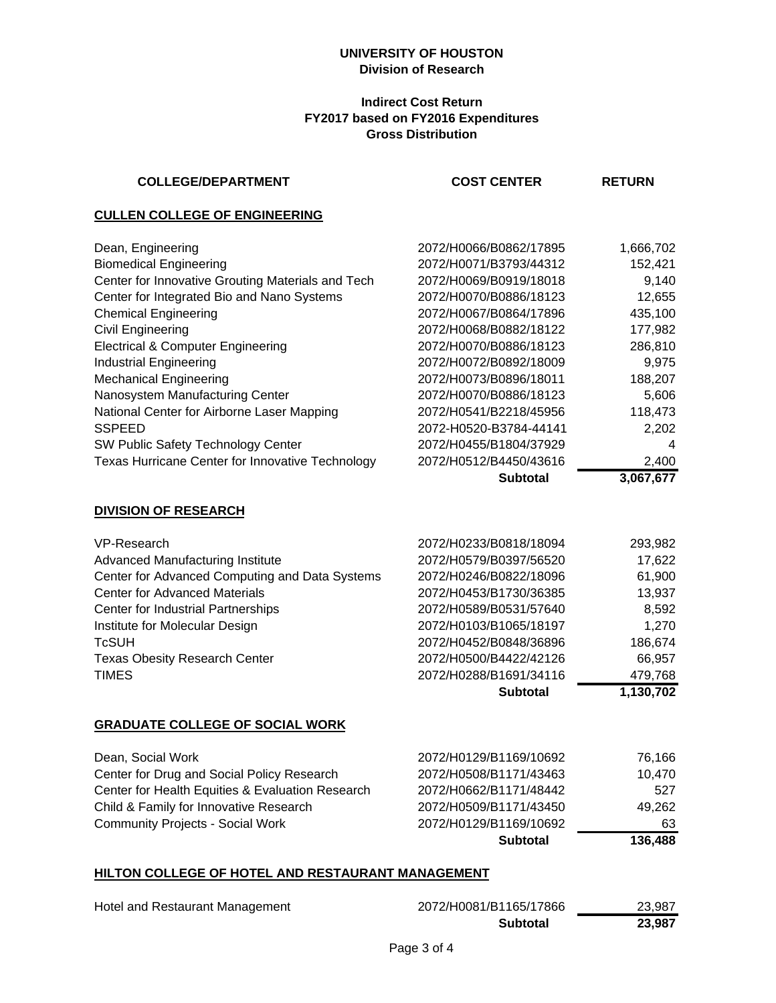#### **Indirect Cost Return FY2017 based on FY2016 Expenditures Gross Distribution**

| <b>COLLEGE/DEPARTMENT</b>                         | <b>COST CENTER</b>     | <b>RETURN</b> |
|---------------------------------------------------|------------------------|---------------|
| <b>CULLEN COLLEGE OF ENGINEERING</b>              |                        |               |
| Dean, Engineering                                 | 2072/H0066/B0862/17895 | 1,666,702     |
| <b>Biomedical Engineering</b>                     | 2072/H0071/B3793/44312 | 152,421       |
| Center for Innovative Grouting Materials and Tech | 2072/H0069/B0919/18018 | 9,140         |
| Center for Integrated Bio and Nano Systems        | 2072/H0070/B0886/18123 | 12,655        |
| <b>Chemical Engineering</b>                       | 2072/H0067/B0864/17896 | 435,100       |
| Civil Engineering                                 | 2072/H0068/B0882/18122 | 177,982       |
| <b>Electrical &amp; Computer Engineering</b>      | 2072/H0070/B0886/18123 | 286,810       |
| <b>Industrial Engineering</b>                     | 2072/H0072/B0892/18009 | 9,975         |
| <b>Mechanical Engineering</b>                     | 2072/H0073/B0896/18011 | 188,207       |
| Nanosystem Manufacturing Center                   | 2072/H0070/B0886/18123 | 5,606         |
| National Center for Airborne Laser Mapping        | 2072/H0541/B2218/45956 | 118,473       |
| <b>SSPEED</b>                                     | 2072-H0520-B3784-44141 | 2,202         |
| SW Public Safety Technology Center                | 2072/H0455/B1804/37929 | 4             |
| Texas Hurricane Center for Innovative Technology  | 2072/H0512/B4450/43616 | 2,400         |
|                                                   | <b>Subtotal</b>        | 3,067,677     |
| <b>DIVISION OF RESEARCH</b>                       |                        |               |
| VP-Research                                       | 2072/H0233/B0818/18094 | 293,982       |
| Advanced Manufacturing Institute                  | 2072/H0579/B0397/56520 | 17,622        |
| Center for Advanced Computing and Data Systems    | 2072/H0246/B0822/18096 | 61,900        |
| <b>Center for Advanced Materials</b>              | 2072/H0453/B1730/36385 | 13,937        |
| Center for Industrial Partnerships                | 2072/H0589/B0531/57640 | 8,592         |
| Institute for Molecular Design                    | 2072/H0103/B1065/18197 | 1,270         |
| TcSUH                                             | 2072/H0452/B0848/36896 | 186,674       |
| <b>Texas Obesity Research Center</b>              | 2072/H0500/B4422/42126 | 66,957        |
| <b>TIMES</b>                                      | 2072/H0288/B1691/34116 | 479,768       |
|                                                   | <b>Subtotal</b>        | 1,130,702     |
| <b>GRADUATE COLLEGE OF SOCIAL WORK</b>            |                        |               |
| Dean, Social Work                                 | 2072/H0129/B1169/10692 | 76,166        |
| Center for Drug and Social Policy Research        | 2072/H0508/B1171/43463 | 10,470        |
| Center for Health Equities & Evaluation Research  | 2072/H0662/B1171/48442 | 527           |
| Child & Family for Innovative Research            | 2072/H0509/B1171/43450 | 49,262        |
| <b>Community Projects - Social Work</b>           | 2072/H0129/B1169/10692 | 63            |
|                                                   | <b>Subtotal</b>        | 136,488       |
|                                                   |                        |               |

# **HILTON COLLEGE OF HOTEL AND RESTAURANT MANAGEMENT**

|                                 | <b>Subtotal</b>        | 23,987 |
|---------------------------------|------------------------|--------|
| Hotel and Restaurant Management | 2072/H0081/B1165/17866 | 23.987 |